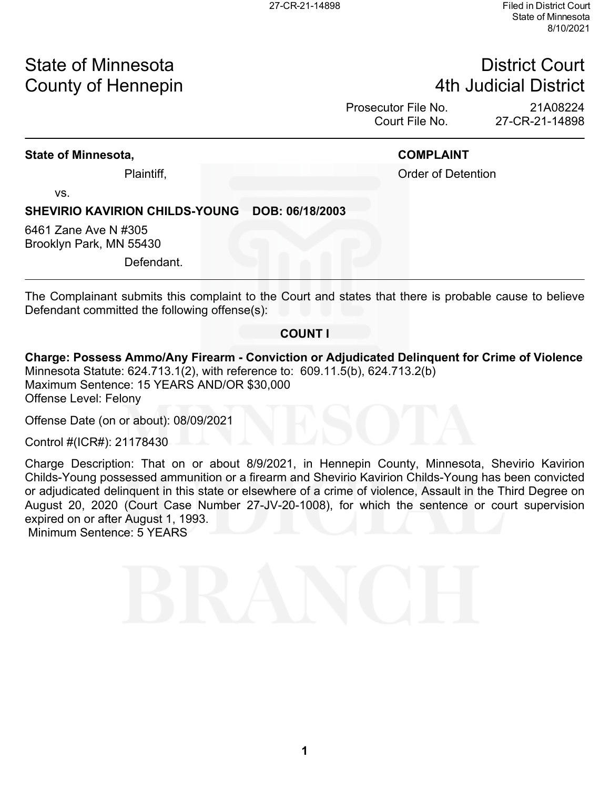# State of Minnesota **District Court County of Hennepin 1988** County of Hennepin **1988** County of Hennepin **1988** County of Hennepin **1988**

Prosecutor File No. 21A08224<br>Court File No. 27-CR-21-14898 27-CR-21-14898

### **State of Minnesota, COMPLAINT**

Plaintiff, **Plaintiff**, **Plaintiff**, **Plaintiff**, **Order of Detention** 

vs.

### **SHEVIRIO KAVIRION CHILDS-YOUNG DOB: 06/18/2003**

6461 Zane Ave N #305 Brooklyn Park, MN 55430

Defendant.

The Complainant submits this complaint to the Court and states that there is probable cause to believe Defendant committed the following offense(s):

### **COUNT I**

**Charge: Possess Ammo/Any Firearm - Conviction or Adjudicated Delinquent for Crime of Violence** Minnesota Statute: 624.713.1(2), with reference to: 609.11.5(b), 624.713.2(b) Maximum Sentence: 15 YEARS AND/OR \$30,000 Offense Level: Felony

Offense Date (on or about): 08/09/2021

Control #(ICR#): 21178430

Charge Description: That on or about 8/9/2021, in Hennepin County, Minnesota, Shevirio Kavirion Childs-Young possessed ammunition or a firearm and Shevirio Kavirion Childs-Young has been convicted or adjudicated delinquent in this state or elsewhere of a crime of violence, Assault in the Third Degree on August 20, 2020 (Court Case Number 27-JV-20-1008), for which the sentence or court supervision expired on or after August 1, 1993.

Minimum Sentence: 5 YEARS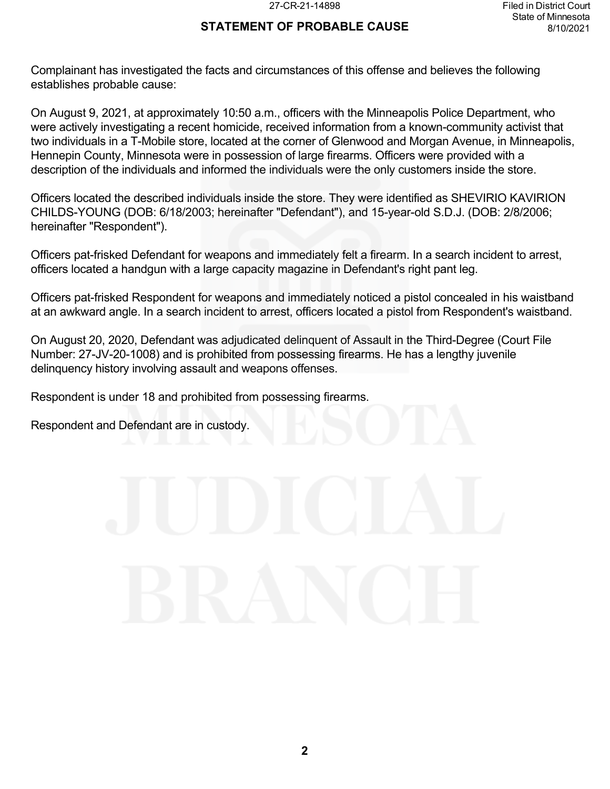### **STATEMENT OF PROBABLE CAUSE**

Complainant has investigated the facts and circumstances of this offense and believes the following establishes probable cause:

On August 9, 2021, at approximately 10:50 a.m., officers with the Minneapolis Police Department, who were actively investigating a recent homicide, received information from a known-community activist that two individuals in a T-Mobile store, located at the corner of Glenwood and Morgan Avenue, in Minneapolis, Hennepin County, Minnesota were in possession of large firearms. Officers were provided with a description of the individuals and informed the individuals were the only customers inside the store.

Officers located the described individuals inside the store. They were identified as SHEVIRIO KAVIRION CHILDS-YOUNG (DOB: 6/18/2003; hereinafter "Defendant"), and 15-year-old S.D.J. (DOB: 2/8/2006; hereinafter "Respondent").

Officers pat-frisked Defendant for weapons and immediately felt a firearm. In a search incident to arrest, officers located a handgun with a large capacity magazine in Defendant's right pant leg.

Officers pat-frisked Respondent for weapons and immediately noticed a pistol concealed in his waistband at an awkward angle. In a search incident to arrest, officers located a pistol from Respondent's waistband.

On August 20, 2020, Defendant was adjudicated delinquent of Assault in the Third-Degree (Court File Number: 27-JV-20-1008) and is prohibited from possessing firearms. He has a lengthy juvenile delinquency history involving assault and weapons offenses.

Respondent is under 18 and prohibited from possessing firearms.

Respondent and Defendant are in custody.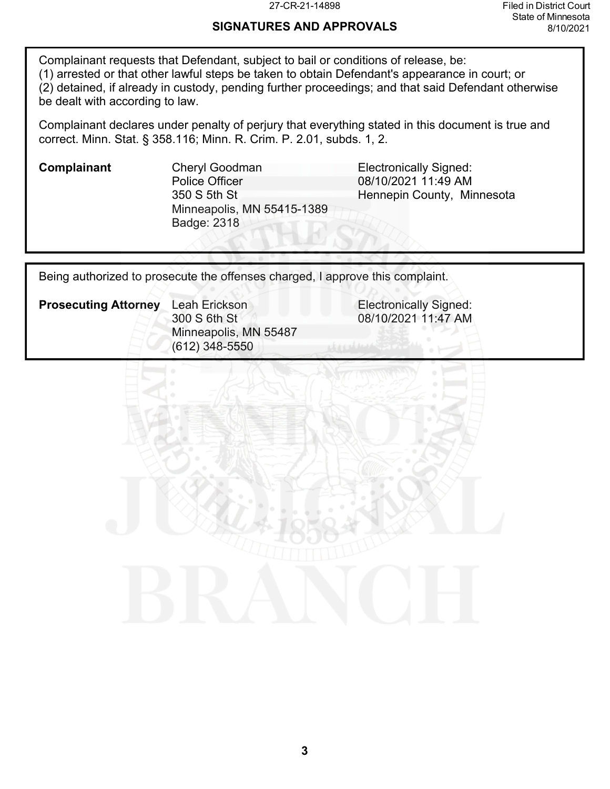# **SIGNATURES AND APPROVALS**

Complainant requests that Defendant, subject to bail or conditions of release, be: (1) arrested or that other lawful steps be taken to obtain Defendant's appearance in court; or (2) detained, if already in custody, pending further proceedings; and that said Defendant otherwise be dealt with according to law.

Complainant declares under penalty of perjury that everything stated in this document is true and correct. Minn. Stat. § 358.116; Minn. R. Crim. P. 2.01, subds. 1, 2.

**Complainant** Cheryl Goodman **Cheryl Electronically Signed:** Police Officer 350 S 5th St Minneapolis, MN 55415-1389 Badge: 2318

08/10/2021 11:49 AM Hennepin County, Minnesota

Being authorized to prosecute the offenses charged, I approve this complaint.

**Prosecuting Attorney** Leah Erickson **Electronically Signed:** 300 S 6th St Minneapolis, MN 55487 (612) 348-5550

08/10/2021 11:47 AM

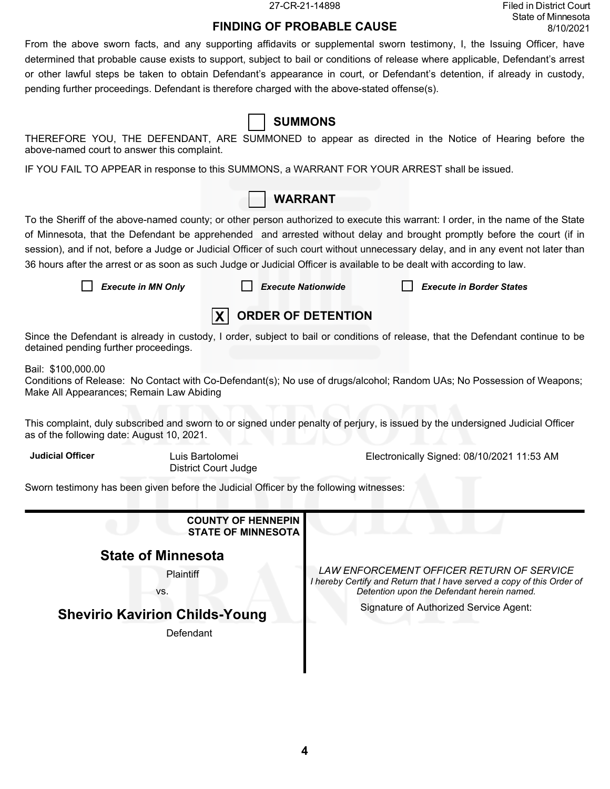27-CR-21-14898 Filed in District Court State of Minnesota 8/10/2021

# **FINDING OF PROBABLE CAUSE**

From the above sworn facts, and any supporting affidavits or supplemental sworn testimony, I, the Issuing Officer, have determined that probable cause exists to support, subject to bail or conditions of release where applicable, Defendant's arrest or other lawful steps be taken to obtain Defendant's appearance in court, or Defendant's detention, if already in custody, pending further proceedings. Defendant is therefore charged with the above-stated offense(s).

| above-named court to answer this complaint.                                                                            |                                                        |                                                                                                                                                                   |                                                                                                                                                                                                                                                                                                                                                                                                 |  |  |  |
|------------------------------------------------------------------------------------------------------------------------|--------------------------------------------------------|-------------------------------------------------------------------------------------------------------------------------------------------------------------------|-------------------------------------------------------------------------------------------------------------------------------------------------------------------------------------------------------------------------------------------------------------------------------------------------------------------------------------------------------------------------------------------------|--|--|--|
| IF YOU FAIL TO APPEAR in response to this SUMMONS, a WARRANT FOR YOUR ARREST shall be issued.                          |                                                        |                                                                                                                                                                   |                                                                                                                                                                                                                                                                                                                                                                                                 |  |  |  |
|                                                                                                                        |                                                        | <b>WARRANT</b>                                                                                                                                                    |                                                                                                                                                                                                                                                                                                                                                                                                 |  |  |  |
| 36 hours after the arrest or as soon as such Judge or Judicial Officer is available to be dealt with according to law. |                                                        |                                                                                                                                                                   | To the Sheriff of the above-named county; or other person authorized to execute this warrant: I order, in the name of the State<br>of Minnesota, that the Defendant be apprehended and arrested without delay and brought promptly before the court (if in<br>session), and if not, before a Judge or Judicial Officer of such court without unnecessary delay, and in any event not later than |  |  |  |
| <b>Execute in MN Only</b>                                                                                              | <b>Execute Nationwide</b>                              |                                                                                                                                                                   | <b>Execute in Border States</b>                                                                                                                                                                                                                                                                                                                                                                 |  |  |  |
|                                                                                                                        | <b>X</b>                                               | <b>ORDER OF DETENTION</b>                                                                                                                                         |                                                                                                                                                                                                                                                                                                                                                                                                 |  |  |  |
| detained pending further proceedings.                                                                                  |                                                        |                                                                                                                                                                   | Since the Defendant is already in custody, I order, subject to bail or conditions of release, that the Defendant continue to be                                                                                                                                                                                                                                                                 |  |  |  |
| Bail: \$100,000.00<br>Make All Appearances; Remain Law Abiding                                                         |                                                        |                                                                                                                                                                   | Conditions of Release: No Contact with Co-Defendant(s); No use of drugs/alcohol; Random UAs; No Possession of Weapons;                                                                                                                                                                                                                                                                          |  |  |  |
| as of the following date: August 10, 2021.                                                                             |                                                        |                                                                                                                                                                   | This complaint, duly subscribed and sworn to or signed under penalty of perjury, is issued by the undersigned Judicial Officer                                                                                                                                                                                                                                                                  |  |  |  |
| <b>Judicial Officer</b>                                                                                                | Luis Bartolomei<br><b>District Court Judge</b>         |                                                                                                                                                                   | Electronically Signed: 08/10/2021 11:53 AM                                                                                                                                                                                                                                                                                                                                                      |  |  |  |
| Sworn testimony has been given before the Judicial Officer by the following witnesses:                                 |                                                        |                                                                                                                                                                   |                                                                                                                                                                                                                                                                                                                                                                                                 |  |  |  |
|                                                                                                                        | <b>COUNTY OF HENNEPIN</b><br><b>STATE OF MINNESOTA</b> |                                                                                                                                                                   |                                                                                                                                                                                                                                                                                                                                                                                                 |  |  |  |
| <b>State of Minnesota</b>                                                                                              |                                                        |                                                                                                                                                                   |                                                                                                                                                                                                                                                                                                                                                                                                 |  |  |  |
| Plaintiff<br>VS.                                                                                                       |                                                        | LAW ENFORCEMENT OFFICER RETURN OF SERVICE<br>I hereby Certify and Return that I have served a copy of this Order of<br>Detention upon the Defendant herein named. |                                                                                                                                                                                                                                                                                                                                                                                                 |  |  |  |
| <b>Shevirio Kavirion Childs-Young</b>                                                                                  |                                                        | Signature of Authorized Service Agent:                                                                                                                            |                                                                                                                                                                                                                                                                                                                                                                                                 |  |  |  |
| Defendant                                                                                                              |                                                        |                                                                                                                                                                   |                                                                                                                                                                                                                                                                                                                                                                                                 |  |  |  |

# **SUMMONS**

THEREFORE YOU, THE DEFENDANT, ARE SUMMONED to appear as directed in the Notice of Hearing before the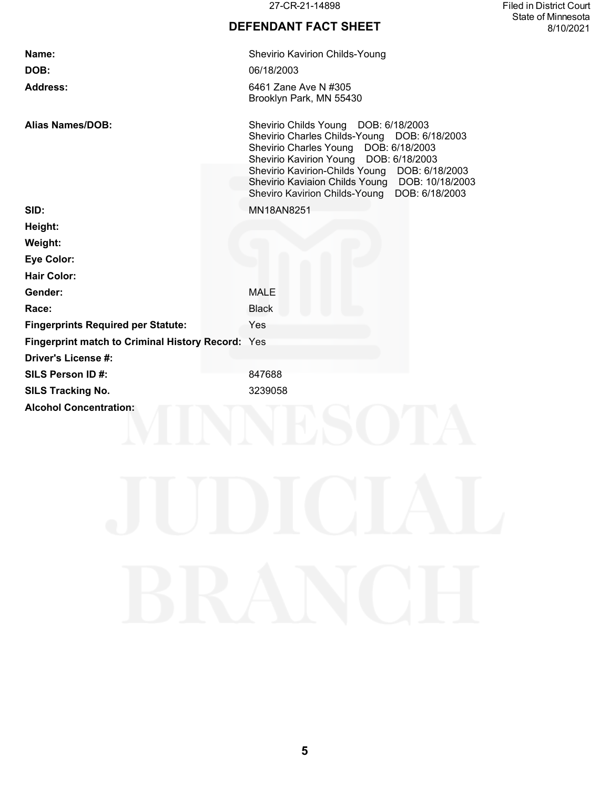27-CR-21-14898 Filed in District Court State of Minnesota 8/10/2021

## **DEFENDANT FACT SHEET**

| Name:                                                    | Shevirio Kavirion Childs-Young                                                                                                                                                                                                                                                                                                |
|----------------------------------------------------------|-------------------------------------------------------------------------------------------------------------------------------------------------------------------------------------------------------------------------------------------------------------------------------------------------------------------------------|
| DOB:                                                     | 06/18/2003                                                                                                                                                                                                                                                                                                                    |
| <b>Address:</b>                                          | 6461 Zane Ave N #305<br>Brooklyn Park, MN 55430                                                                                                                                                                                                                                                                               |
| <b>Alias Names/DOB:</b>                                  | Shevirio Childs Young DOB: 6/18/2003<br>Shevirio Charles Childs-Young DOB: 6/18/2003<br>Shevirio Charles Young DOB: 6/18/2003<br>Shevirio Kavirion Young DOB: 6/18/2003<br>Shevirio Kavirion-Childs Young DOB: 6/18/2003<br>Shevirio Kaviaion Childs Young DOB: 10/18/2003<br>Sheviro Kavirion Childs-Young<br>DOB: 6/18/2003 |
| SID:                                                     | MN18AN8251                                                                                                                                                                                                                                                                                                                    |
| Height:                                                  |                                                                                                                                                                                                                                                                                                                               |
| Weight:                                                  |                                                                                                                                                                                                                                                                                                                               |
| <b>Eye Color:</b>                                        |                                                                                                                                                                                                                                                                                                                               |
| <b>Hair Color:</b>                                       |                                                                                                                                                                                                                                                                                                                               |
| Gender:                                                  | <b>MALE</b>                                                                                                                                                                                                                                                                                                                   |
| Race:                                                    | <b>Black</b>                                                                                                                                                                                                                                                                                                                  |
| <b>Fingerprints Required per Statute:</b>                | Yes                                                                                                                                                                                                                                                                                                                           |
| <b>Fingerprint match to Criminal History Record: Yes</b> |                                                                                                                                                                                                                                                                                                                               |
| <b>Driver's License #:</b>                               |                                                                                                                                                                                                                                                                                                                               |
| SILS Person ID#:                                         | 847688                                                                                                                                                                                                                                                                                                                        |
| <b>SILS Tracking No.</b>                                 | 3239058                                                                                                                                                                                                                                                                                                                       |
| <b>Alcohol Concentration:</b>                            |                                                                                                                                                                                                                                                                                                                               |